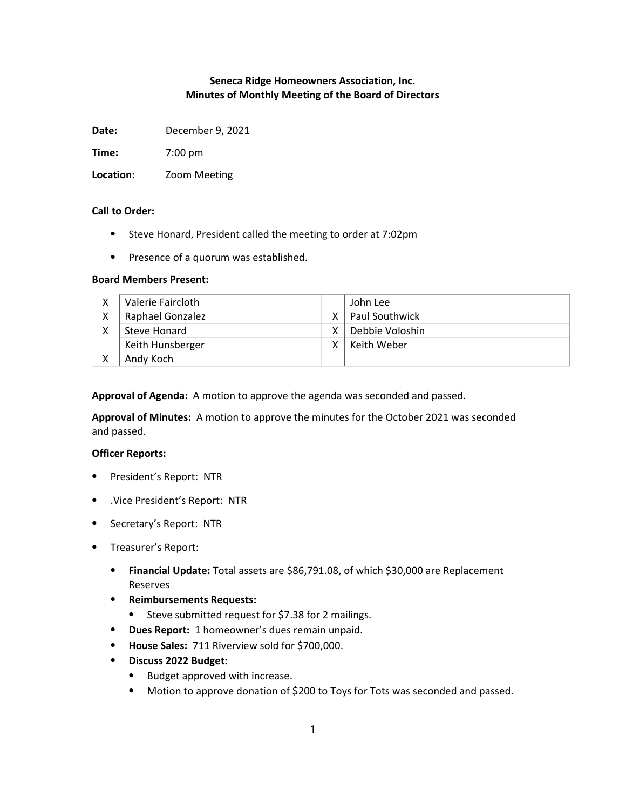# Seneca Ridge Homeowners Association, Inc. Minutes of Monthly Meeting of the Board of Directors

Date: December 9, 2021

Time: 7:00 pm

Location: Zoom Meeting

## Call to Order:

- ⦁ Steve Honard, President called the meeting to order at 7:02pm
- ⦁ Presence of a quorum was established.

## Board Members Present:

| Χ | Valerie Faircloth       |   | John Lee              |
|---|-------------------------|---|-----------------------|
| X | <b>Raphael Gonzalez</b> | γ | <b>Paul Southwick</b> |
| χ | Steve Honard            | v | Debbie Voloshin       |
|   | Keith Hunsberger        | v | Keith Weber           |
| v | Andy Koch               |   |                       |

Approval of Agenda: A motion to approve the agenda was seconded and passed.

Approval of Minutes: A motion to approve the minutes for the October 2021 was seconded and passed.

## Officer Reports:

- ⦁ President's Report: NTR
- ⦁ .Vice President's Report: NTR
- ⦁ Secretary's Report: NTR
- ⦁ Treasurer's Report:
	- ⦁ Financial Update: Total assets are \$86,791.08, of which \$30,000 are Replacement Reserves
	- ⦁ Reimbursements Requests:
		- ⦁ Steve submitted request for \$7.38 for 2 mailings.
	- ⦁ Dues Report: 1 homeowner's dues remain unpaid.
	- ⦁ House Sales: 711 Riverview sold for \$700,000.
	- ⦁ Discuss 2022 Budget:
		- ⦁ Budget approved with increase.
		- ⦁ Motion to approve donation of \$200 to Toys for Tots was seconded and passed.